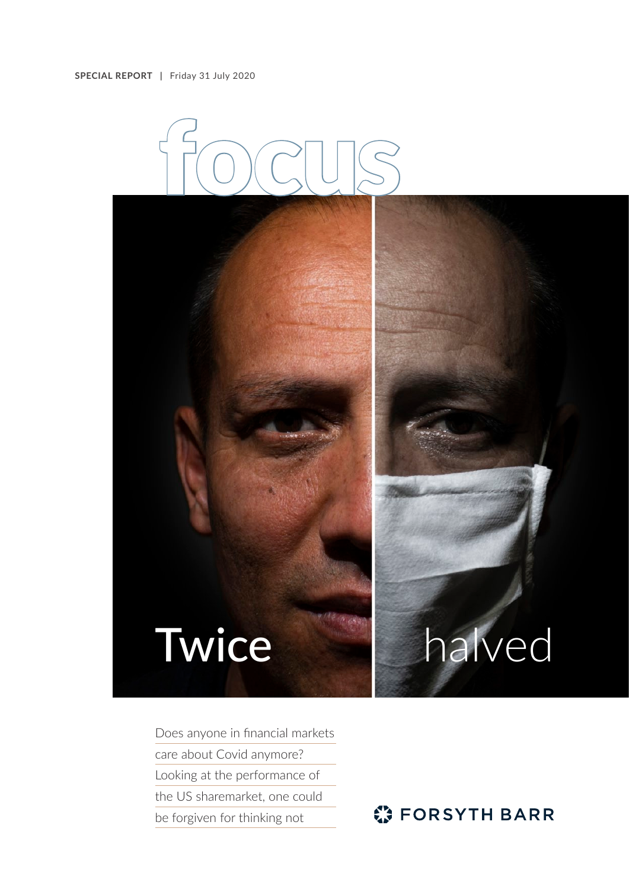

## Twice halved

Does anyone in financial markets care about Covid anymore? Looking at the performance of the US sharemarket, one could be forgiven for thinking not

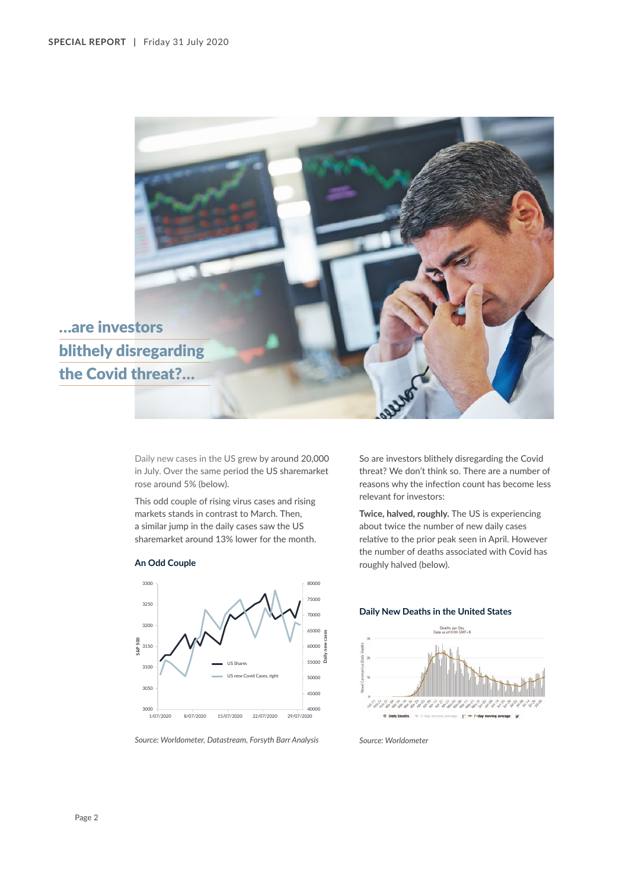

**Daily new cases**

É

Daily new cases in the US grew by around 20,000 in July. Over the same period the US sharemarket rose around 5% (below).

This odd couple of rising virus cases and rising markets stands in contrast to March. Then, a similar jump in the daily cases saw the US sharemarket around 13% lower for the month.



## **An Odd Couple**

threat? We don't think so. There are a number of reasons why the infection count has become less relevant for investors:

So are investors blithely disregarding the Covid

**Twice, halved, roughly.** The US is experiencing about twice the number of new daily cases relative to the prior peak seen in April. However the number of deaths associated with Covid has roughly halved (below).

## **Daily New Deaths in the United States**





1/07/2020 8/07/2020 15/07/2020 22/07/2020 29/07/2020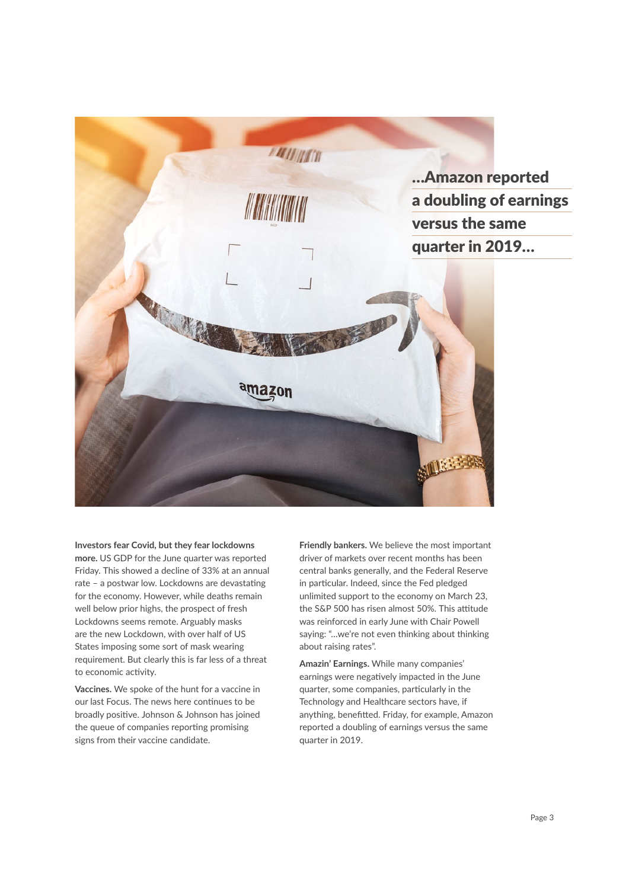

## **Investors fear Covid, but they fear lockdowns more.** US GDP for the June quarter was reported

Friday. This showed a decline of 33% at an annual rate – a postwar low. Lockdowns are devastating for the economy. However, while deaths remain well below prior highs, the prospect of fresh Lockdowns seems remote. Arguably masks are the new Lockdown, with over half of US States imposing some sort of mask wearing requirement. But clearly this is far less of a threat to economic activity.

**Vaccines.** We spoke of the hunt for a vaccine in our last Focus. The news here continues to be broadly positive. Johnson & Johnson has joined the queue of companies reporting promising signs from their vaccine candidate.

**Friendly bankers.** We believe the most important driver of markets over recent months has been central banks generally, and the Federal Reserve in particular. Indeed, since the Fed pledged unlimited support to the economy on March 23, the S&P 500 has risen almost 50%. This attitude was reinforced in early June with Chair Powell saying: "…we're not even thinking about thinking about raising rates".

**Amazin' Earnings.** While many companies' earnings were negatively impacted in the June quarter, some companies, particularly in the Technology and Healthcare sectors have, if anything, benefitted. Friday, for example, Amazon reported a doubling of earnings versus the same quarter in 2019.